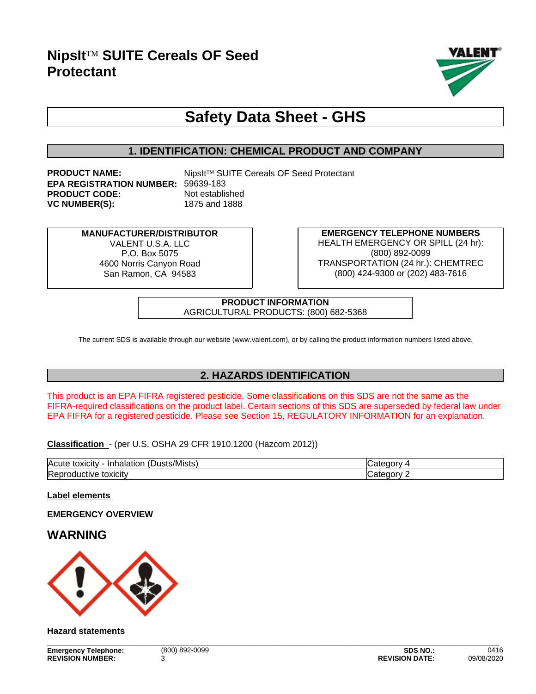

# **Safety Data Sheet - GHS**

# **1. IDENTIFICATION: CHEMICAL PRODUCT AND COMPANY**

**PRODUCT NAME:** NipsIt™ SUITE Cereals OF Seed Protectant **EPA REGISTRATION NUMBER:** 59639-183 **PRODUCT CODE:** Not established **VC NUMBER(S):** 1875 and 1888

**MANUFACTURER/DISTRIBUTOR** VALENT U.S.A. LLC. P.O. Box 5075 4600 Norris Canyon Road San Ramon, CA 94583

**EMERGENCY TELEPHONE NUMBERS** HEALTH EMERGENCY OR SPILL (24 hr): (800) 892-0099 TRANSPORTATION (24 hr.): CHEMTREC (800) 424-9300 or (202) 483-7616

**PRODUCT INFORMATION** AGRICULTURAL PRODUCTS: (800) 682-5368

The current SDS is available through our website (www.valent.com), or by calling the product information numbers listed above.

# **2. HAZARDS IDENTIFICATION**

This product is an EPA FIFRA registered pesticide. Some classifications on this SDS are not the same as the FIFRA-required classifications on the product label. Certain sections of this SDS are superseded by federal law under EPA FIFRA for a registered pesticide. Please see Section 15, REGULATORY INFORMATION for an explanation.

**Classification** - (per U.S. OSHA 29 CFR 1910.1200 (Hazcom 2012))

| $\mathbf{r}$<br><b>Acute</b><br>/Mists<br>nalation<br>toxicity<br>ישו<br>эL. |                          |
|------------------------------------------------------------------------------|--------------------------|
| Re <sub>i</sub><br>.<br>'JXICIL<br><br>- 11                                  | $\sim$ $\sim$ $\sim$<br> |

**Label elements** 

**EMERGENCY OVERVIEW**

# **WARNING**



#### **Hazard statements**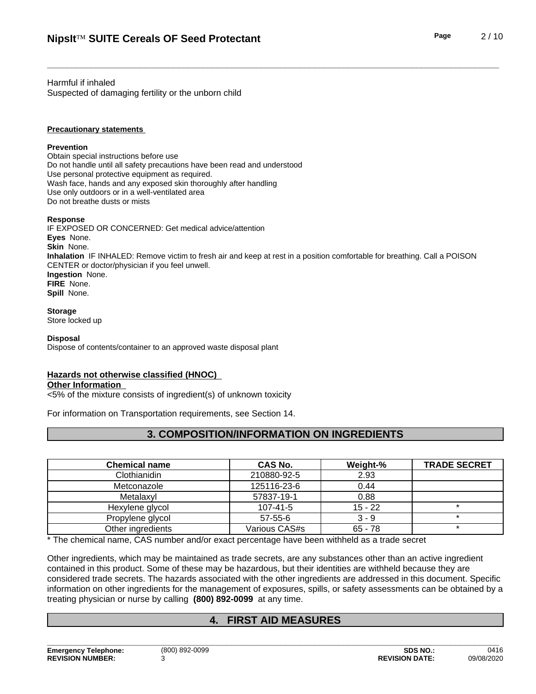Harmful if inhaled Suspected of damaging fertility or the unborn child

#### **Precautionary statements**

#### **Prevention**

Obtain special instructions before use Do not handle until all safety precautions have been read and understood Use personal protective equipment as required.<br>Wash face, hands and any exposed skin thoroughly after handling Use only outdoors or in a well-ventilated area Do not breathe dusts or mists

#### **Response**

IF EXPOSED OR CONCERNED: Get medical advice/attention **Eyes** None. **Skin** None. **Inhalation** IF INHALED: Remove victim to fresh air and keep at rest in a position comfortable for breathing. Call a POISON CENTER or doctor/physician if you feel unwell. **Ingestion** None. **FIRE** None. **Spill** None.

#### **Storage**

Store locked up

#### **Disposal**

Dispose of contents/container to an approved waste disposal plant

#### **Hazards not otherwise classified (HNOC)**

#### **Other Information**

<5% of the mixtureconsists of ingredient(s) of unknown toxicity

For information on Transportation requirements, see Section 14.

# **3. COMPOSITION/INFORMATION ON INGREDIENTS**

| <b>Chemical name</b> | <b>CAS No.</b> | Weight-%  | <b>TRADE SECRET</b> |
|----------------------|----------------|-----------|---------------------|
| Clothianidin         | 210880-92-5    | 2.93      |                     |
| Metconazole          | 125116-23-6    | 0.44      |                     |
| Metalaxyl            | 57837-19-1     | 0.88      |                     |
| Hexylene glycol      | $107 - 41 - 5$ | $15 - 22$ |                     |
| Propylene glycol     | $57 - 55 - 6$  | $3 - 9$   |                     |
| Other ingredients    | Various CAS#s  | $65 - 78$ |                     |

\* The chemical name, CAS number and/or exact percentage have been withheld as a trade secret

Other ingredients, which may be maintained as trade secrets, are any substances other than an active ingredient contained in this product. Some of these may be hazardous, but their identities are withheld because they are considered trade secrets. The hazards associated with the otheringredients are addressed in this document. Specific information on other ingredients for the management of exposures, spills, or safety assessments can be obtained by a treating physician or nurse by calling **(800) 892-0099** at any time.

# **4. FIRST AID MEASURES**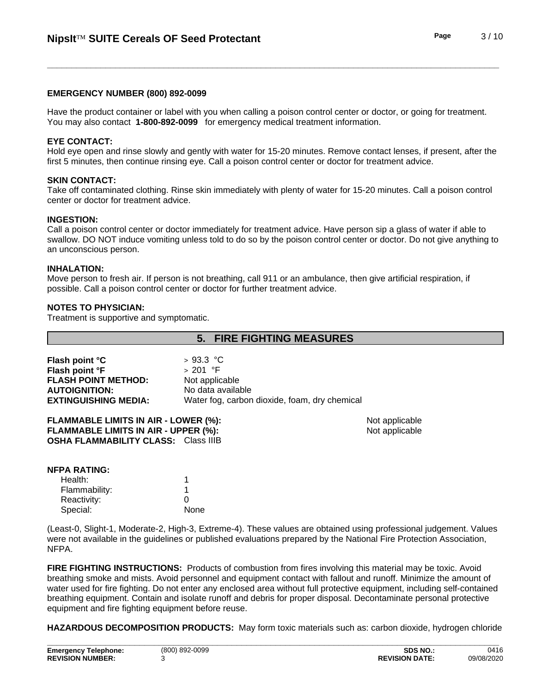#### **EMERGENCY NUMBER (800) 892-0099**

Have the product container or label with you when calling a poison control center or doctor, or going for treatment. You may also contact **1-800-892-0099** for emergency medical treatment information.

#### **EYE CONTACT:**

Hold eye open and rinse slowly and gently with water for 15-20 minutes. Remove contact lenses, if present, after the first 5 minutes, then continue rinsing eye. Call a poison control center or doctor for treatment advice.

#### **SKIN CONTACT:**

Take off contaminated clothing. Rinse skin immediately with plenty of water for 15-20 minutes. Call a poison control center or doctor for treatment advice.

#### **INGESTION:**

Call a poison control center or doctor immediately for treatment advice. Have person sip a glass of water if able to swallow. DO NOT induce vomiting unless told to do so by the poison control center or doctor. Do not give anything to an unconscious person.

#### **INHALATION:**

Move person to fresh air.If person is not breathing, call 911 or an ambulance, then give artificial respiration, if possible. Call a poison control center or doctor for further treatment advice.

#### **NOTES TO PHYSICIAN:**

Treatment is supportive and symptomatic.

# **5. FIRE FIGHTING MEASURES**

**Not applicable**  $Not applicable$ 

| Flash point °C              | > 93.3 °C                                     |
|-----------------------------|-----------------------------------------------|
| Flash point °F              | ⇒ 201 °F                                      |
| <b>FLASH POINT METHOD:</b>  | Not applicable                                |
| <b>AUTOIGNITION:</b>        | No data available                             |
| <b>EXTINGUISHING MEDIA:</b> | Water fog, carbon dioxide, foam, dry chemical |

| <b>FLAMMABLE LIMITS IN AIR - LOWER (%):</b> |  |
|---------------------------------------------|--|
| FLAMMABLE LIMITS IN AIR - UPPER (%):        |  |
| <b>OSHA FLAMMABILITY CLASS:</b> Class IIIB  |  |

| <b>NFPA RATING:</b> |  |
|---------------------|--|
| $1 + 2 = 14$        |  |

| Health:       |      |
|---------------|------|
| Flammability: |      |
| Reactivity:   |      |
| Special:      | None |

(Least-0, Slight-1, Moderate-2, High-3, Extreme-4). These values are obtained using professional judgement. Values were not available in the guidelines or published evaluations prepared by the National Fire Protection Association, NFPA.

**FIRE FIGHTING INSTRUCTIONS:** Products of combustion from fires involving this material may be toxic. Avoid breathing smoke and mists. Avoid personnel and equipment contact with fallout and runoff. Minimize the amount of water used for fire fighting. Do not enter any enclosed area without full protective equipment, including self-contained breathing equipment.Contain and isolate runoff and debris for proper disposal. Decontaminate personal protective equipment and fire fighting equipment before reuse.

**HAZARDOUS DECOMPOSITION PRODUCTS:** May form toxic materials such as: carbon dioxide, hydrogen chloride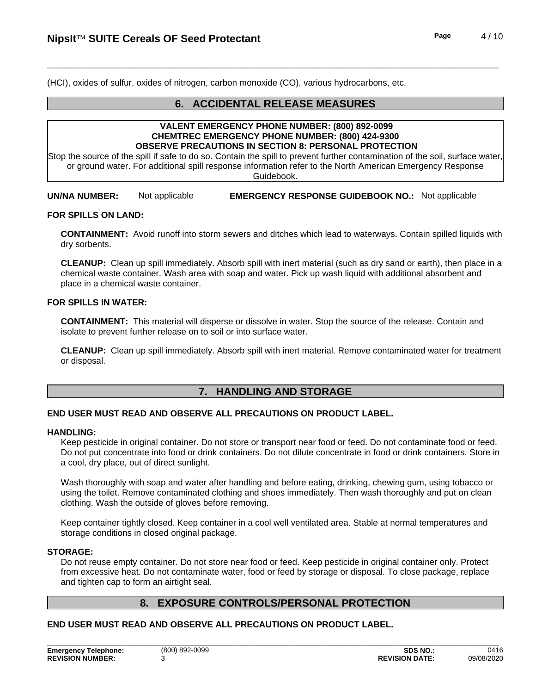(HCI), oxides of sulfur, oxides of nitrogen, carbon monoxide (CO), various hydrocarbons, etc.

# **6. ACCIDENTAL RELEASE MEASURES**

#### **VALENT EMERGENCY PHONE NUMBER: (800) 892-0099 CHEMTREC EMERGENCY PHONE NUMBER: (800) 424-9300 OBSERVE PRECAUTIONS IN SECTION 8: PERSONAL PROTECTION**

Stop the source of the spill if safe to do so. Contain the spill to prevent further contamination of the soil, surface water, or ground water. For additional spill response information refer to the North American Emergency Response Guidebook.

**UN/NA NUMBER:** Not applicable **EMERGENCY RESPONSE GUIDEBOOK NO.:** Not applicable

#### **FOR SPILLS ON LAND:**

**CONTAINMENT:** Avoid runoff into storm sewers and ditches which lead to waterways.Contain spilled liquids with dry sorbents.

**CLEANUP:** Clean up spill immediately. Absorb spill with inert material (such as dry sand or earth), then place in a chemical waste container. Wash area with soap and water. Pick up wash liquid with additional absorbent and place in a chemical waste container.

#### **FOR SPILLS IN WATER:**

**CONTAINMENT:** This material will disperse or dissolve in water. Stop the source of the release. Contain and isolate to prevent further release on to soil or into surface water.

**CLEANUP:** Clean up spill immediately. Absorb spill with inert material. Remove contaminated water for treatment or disposal.

# **7. HANDLING AND STORAGE**

#### **END USER MUST READ AND OBSERVE ALL PRECAUTIONS ON PRODUCT LABEL.**

#### **HANDLING:**

Keep pesticide in original container. Do not store or transport near food or feed. Do not contaminate food or feed. Do not put concentrate into food or drink containers. Do not dilute concentrate in food or drink containers. Store in a cool, dry place, out of direct sunlight.

Wash thoroughly with soap and water after handling and before eating, drinking, chewing gum, using tobacco or using the toilet. Remove contaminated clothing and shoes immediately. Then wash thoroughly and put on clean clothing. Wash the outside of gloves before removing.

Keep container tightly closed. Keep container in a cool well ventilated area. Stable at normal temperatures and storage conditions in closed original package.

#### **STORAGE:**

Do not reuse empty container. Do not store near food or feed. Keep pesticide in original container only. Protect from excessive heat. Do not contaminate water, food or feed by storage or disposal. To close package, replace and tighten cap to form an airtight seal.

# **8. EXPOSURE CONTROLS/PERSONAL PROTECTION**

## **END USER MUST READ AND OBSERVE ALL PRECAUTIONS ON PRODUCT LABEL.**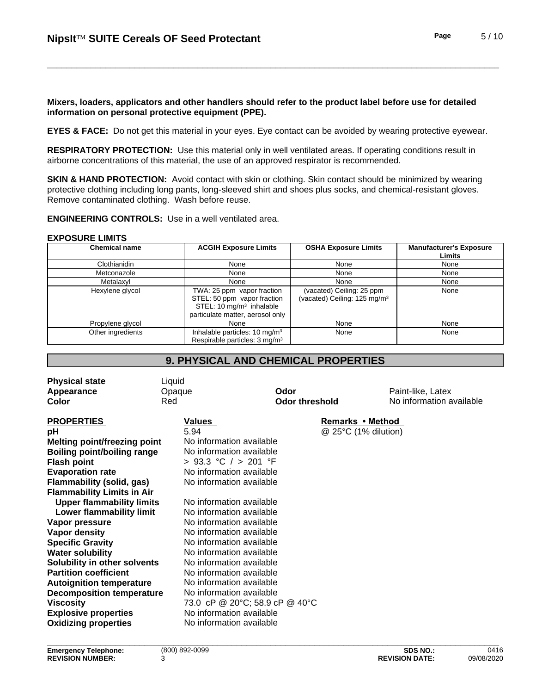**Mixers, loaders, applicators and other handlers should refer to the product label before use for detailed information on personal protective equipment (PPE).**

**EYES & FACE:** Do not get this material in your eyes. Eye contact can be avoided by wearing protective eyewear.

**RESPIRATORY PROTECTION:** Use this material only in well ventilated areas. If operating conditions result in airborne concentrations of this material, the use of an approved respirator is recommended.

**SKIN & HAND PROTECTION:** Avoid contact with skin or clothing. Skin contact should be minimized by wearing protective clothing including long pants, long-sleeved shirt and shoes plus socks, and chemical-resistant gloves. Remove contaminated clothing. Wash before reuse.

**ENGINEERING CONTROLS:** Use in a well ventilated area.

#### **EXPOSURE LIMITS**

| <b>Chemical name</b> | <b>ACGIH Exposure Limits</b>              | <b>OSHA Exposure Limits</b>              | <b>Manufacturer's Exposure</b> |
|----------------------|-------------------------------------------|------------------------------------------|--------------------------------|
|                      |                                           |                                          | Limits                         |
| Clothianidin         | None                                      | None                                     | None                           |
| Metconazole          | None                                      | None                                     | None                           |
| Metalaxyl            | None                                      | None                                     | None                           |
| Hexylene glycol      | TWA: 25 ppm vapor fraction                | (vacated) Ceiling: 25 ppm                | None                           |
|                      | STEL: 50 ppm vapor fraction               | (vacated) Ceiling: 125 mg/m <sup>3</sup> |                                |
|                      | STEL: 10 $mg/m3$ inhalable                |                                          |                                |
|                      | particulate matter, aerosol only          |                                          |                                |
| Propylene glycol     | None                                      | None                                     | None                           |
| Other ingredients    | Inhalable particles: 10 mg/m <sup>3</sup> | None                                     | None                           |
|                      | Respirable particles: 3 mg/m <sup>3</sup> |                                          |                                |

# **9. PHYSICAL AND CHEMICAL PROPERTIES**

| No information available<br>Red<br><b>Odor threshold</b><br>Values<br>Remarks • Method<br>@ 25°C (1% dilution)<br>5.94<br>No information available<br>No information available<br>> 93.3 °C / > 201 °F<br>No information available<br>No information available<br>No information available<br><b>Upper flammability limits</b><br>Lower flammability limit<br>No information available<br>No information available<br>No information available<br>No information available<br>No information available<br>No information available<br>No information available<br>No information available<br>No information available<br><b>Decomposition temperature</b><br>73.0 cP @ 20°C; 58.9 cP @ 40°C<br>No information available<br>No information available | <b>Physical state</b><br>Appearance | Liquid<br>Opaque | Odor | Paint-like, Latex |
|------------------------------------------------------------------------------------------------------------------------------------------------------------------------------------------------------------------------------------------------------------------------------------------------------------------------------------------------------------------------------------------------------------------------------------------------------------------------------------------------------------------------------------------------------------------------------------------------------------------------------------------------------------------------------------------------------------------------------------------------------|-------------------------------------|------------------|------|-------------------|
|                                                                                                                                                                                                                                                                                                                                                                                                                                                                                                                                                                                                                                                                                                                                                      | Color                               |                  |      |                   |
|                                                                                                                                                                                                                                                                                                                                                                                                                                                                                                                                                                                                                                                                                                                                                      | <b>PROPERTIES</b>                   |                  |      |                   |
|                                                                                                                                                                                                                                                                                                                                                                                                                                                                                                                                                                                                                                                                                                                                                      | рH                                  |                  |      |                   |
|                                                                                                                                                                                                                                                                                                                                                                                                                                                                                                                                                                                                                                                                                                                                                      | <b>Melting point/freezing point</b> |                  |      |                   |
|                                                                                                                                                                                                                                                                                                                                                                                                                                                                                                                                                                                                                                                                                                                                                      | <b>Boiling point/boiling range</b>  |                  |      |                   |
|                                                                                                                                                                                                                                                                                                                                                                                                                                                                                                                                                                                                                                                                                                                                                      | <b>Flash point</b>                  |                  |      |                   |
|                                                                                                                                                                                                                                                                                                                                                                                                                                                                                                                                                                                                                                                                                                                                                      | <b>Evaporation rate</b>             |                  |      |                   |
|                                                                                                                                                                                                                                                                                                                                                                                                                                                                                                                                                                                                                                                                                                                                                      | <b>Flammability (solid, gas)</b>    |                  |      |                   |
|                                                                                                                                                                                                                                                                                                                                                                                                                                                                                                                                                                                                                                                                                                                                                      | <b>Flammability Limits in Air</b>   |                  |      |                   |
|                                                                                                                                                                                                                                                                                                                                                                                                                                                                                                                                                                                                                                                                                                                                                      |                                     |                  |      |                   |
|                                                                                                                                                                                                                                                                                                                                                                                                                                                                                                                                                                                                                                                                                                                                                      |                                     |                  |      |                   |
|                                                                                                                                                                                                                                                                                                                                                                                                                                                                                                                                                                                                                                                                                                                                                      | Vapor pressure                      |                  |      |                   |
|                                                                                                                                                                                                                                                                                                                                                                                                                                                                                                                                                                                                                                                                                                                                                      | Vapor density                       |                  |      |                   |
|                                                                                                                                                                                                                                                                                                                                                                                                                                                                                                                                                                                                                                                                                                                                                      | <b>Specific Gravity</b>             |                  |      |                   |
|                                                                                                                                                                                                                                                                                                                                                                                                                                                                                                                                                                                                                                                                                                                                                      | <b>Water solubility</b>             |                  |      |                   |
|                                                                                                                                                                                                                                                                                                                                                                                                                                                                                                                                                                                                                                                                                                                                                      | Solubility in other solvents        |                  |      |                   |
|                                                                                                                                                                                                                                                                                                                                                                                                                                                                                                                                                                                                                                                                                                                                                      | <b>Partition coefficient</b>        |                  |      |                   |
|                                                                                                                                                                                                                                                                                                                                                                                                                                                                                                                                                                                                                                                                                                                                                      | <b>Autoignition temperature</b>     |                  |      |                   |
|                                                                                                                                                                                                                                                                                                                                                                                                                                                                                                                                                                                                                                                                                                                                                      |                                     |                  |      |                   |
|                                                                                                                                                                                                                                                                                                                                                                                                                                                                                                                                                                                                                                                                                                                                                      | <b>Viscosity</b>                    |                  |      |                   |
|                                                                                                                                                                                                                                                                                                                                                                                                                                                                                                                                                                                                                                                                                                                                                      | <b>Explosive properties</b>         |                  |      |                   |
|                                                                                                                                                                                                                                                                                                                                                                                                                                                                                                                                                                                                                                                                                                                                                      | <b>Oxidizing properties</b>         |                  |      |                   |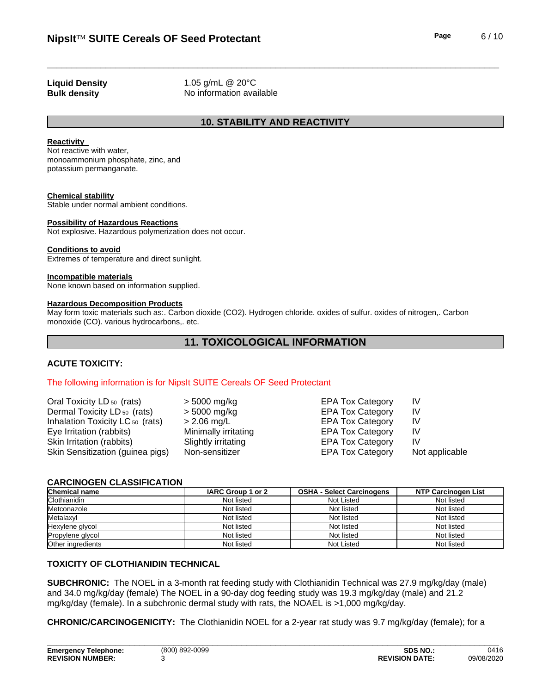**Liquid Density** 1.05 g/mL @ 20°C **Bulk density** No information available

# **10. STABILITY AND REACTIVITY**

#### **Reactivity**

Not reactive with water, monoammonium phosphate, zinc, and potassium permanganate.

#### **Chemical stability**

Stable under normal ambient conditions.

#### **Possibility of Hazardous Reactions**

Not explosive. Hazardous polymerization does not occur.

#### **Conditions to avoid**

Extremes of temperature and direct sunlight.

#### **Incompatible materials**

None known based on information supplied.

#### **Hazardous Decomposition Products**

May form toxic materials such as:.Carbon dioxide (CO2). Hydrogen chloride. oxides of sulfur. oxides of nitrogen,. Carbon monoxide (CO). various hydrocarbons,. etc.

# **11. TOXICOLOGICAL INFORMATION**

## **ACUTE TOXICITY:**

#### The following information is for NipsIt SUITE Cereals OF Seed Protectant

| Oral Toxicity LD <sub>50</sub> (rats)       | > 5000 mg/kg         | <b>EPA Tox Category</b> | IV             |
|---------------------------------------------|----------------------|-------------------------|----------------|
| Dermal Toxicity LD <sub>50</sub> (rats)     | > 5000 mg/kg         | <b>EPA Tox Category</b> | IV             |
| Inhalation Toxicity LC <sub>50</sub> (rats) | > 2.06 mg/L          | <b>EPA Tox Category</b> | IV             |
| Eye Irritation (rabbits)                    | Minimally irritating | <b>EPA Tox Category</b> | IV             |
| Skin Irritation (rabbits)                   | Slightly irritating  | <b>EPA Tox Category</b> | IV             |
| Skin Sensitization (guinea pigs)            | Non-sensitizer       | <b>EPA Tox Category</b> | Not applicable |
|                                             |                      |                         |                |

#### **CARCINOGEN CLASSIFICATION**

| <b>Chemical name</b> | IARC Group 1 or 2 | <b>OSHA - Select Carcinogens</b> | NTP Carcinogen List |
|----------------------|-------------------|----------------------------------|---------------------|
| Clothianidin         | Not listed        | Not Listed                       | Not listed          |
| Metconazole          | Not listed        | Not listed                       | Not listed          |
| Metalaxyl            | Not listed        | Not listed                       | Not listed          |
| Hexylene glycol      | Not listed        | Not listed                       | Not listed          |
| Propylene glycol     | Not listed        | Not listed                       | Not listed          |
| Other ingredients    | Not listed        | Not Listed                       | Not listed          |

#### **TOXICITY OF CLOTHIANIDIN TECHNICAL**

**SUBCHRONIC:** The NOEL in a 3-month rat feeding study with Clothianidin Technical was 27.9 mg/kg/day (male) and 34.0 mg/kg/day (female) The NOEL in a 90-day dog feeding study was 19.3 mg/kg/day (male) and 21.2 mg/kg/day (female). In a subchronic dermal study with rats, the NOAEL is >1,000 mg/kg/day.

**CHRONIC/CARCINOGENICITY:** The Clothianidin NOEL for a 2-year rat study was 9.7 mg/kg/day (female); for a

**\_\_\_\_\_\_\_\_\_\_\_\_\_\_\_\_\_\_\_\_\_\_\_\_\_\_\_\_\_\_\_\_\_\_\_\_\_\_\_\_\_\_\_\_\_\_\_\_\_\_\_\_\_\_\_\_\_\_\_\_\_\_\_\_\_\_\_\_\_\_\_\_\_\_\_\_\_\_\_\_\_\_\_\_\_\_\_\_\_\_\_\_\_**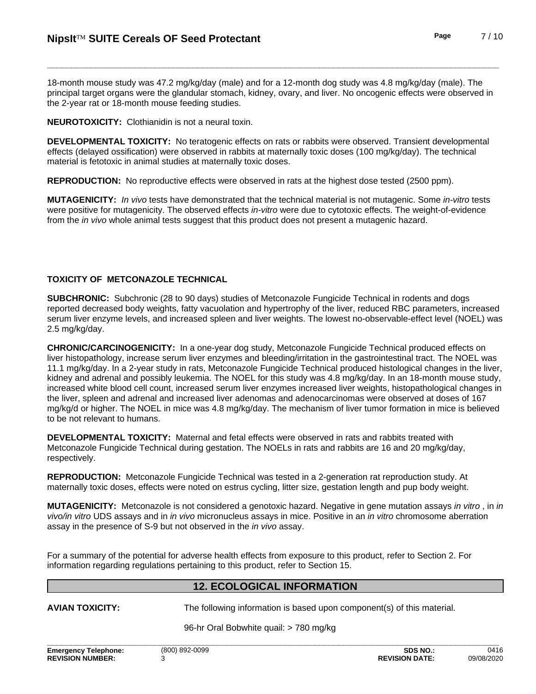18-month mouse study was 47.2 mg/kg/day (male) and for a 12-month dog study was 4.8 mg/kg/day (male). The principal target organs were the glandular stomach, kidney, ovary, and liver. No oncogenic effects were observed in the 2-year rat or 18-month mouse feeding studies.

**NEUROTOXICITY:** Clothianidin is not a neural toxin.

**DEVELOPMENTAL TOXICITY:** No teratogenic effects on rats or rabbits were observed. Transient developmental effects (delayed ossification) were observed in rabbits at maternally toxic doses (100 mg/kg/day). The technical material is fetotoxic in animal studies at maternally toxic doses.

**REPRODUCTION:** No reproductive effects were observed in rats at the highest dose tested (2500 ppm).

**MUTAGENICITY:** *In vivo* tests have demonstrated that the technical material is not mutagenic. Some *in-vitro* tests were positive for mutagenicity. The observed effects *in-vitro* were due to cytotoxic effects. The weight-of-evidence from the *in vivo* whole animal tests suggest that this product does not present a mutagenic hazard.

# **TOXICITY OF METCONAZOLE TECHNICAL**

**SUBCHRONIC:** Subchronic (28 to 90 days) studies of Metconazole Fungicide Technical in rodents and dogs reported decreased body weights, fatty vacuolation and hypertrophy of the liver, reduced RBC parameters, increased serum liver enzyme levels, and increased spleen and liver weights. The lowest no-observable-effect level (NOEL) was 2.5 mg/kg/day.

**CHRONIC/CARCINOGENICITY:** In a one-yeardog study, Metconazole Fungicide Technical produced effects on liver histopathology, increase serum liver enzymes and bleeding/irritation in the gastrointestinal tract. The NOEL was 11.1 mg/kg/day. In a 2-year study in rats, Metconazole Fungicide Technical produced histological changes in the liver, kidney and adrenal and possibly leukemia. The NOEL for this study was 4.8 mg/kg/day. In an 18-month mouse study, increased white blood cell count, increased serum liver enzymes increased liver weights, histopathological changes in the liver, spleen and adrenal and increased liver adenomas and adenocarcinomas were observed at doses of 167 mg/kg/d or higher. The NOEL in mice was 4.8 mg/kg/day. The mechanism of liver tumor formation in mice is believed to be not relevant to humans.

**DEVELOPMENTAL TOXICITY:** Maternal and fetal effects were observed in rats and rabbits treated with Metconazole Fungicide Technical during gestation. The NOELs in rats and rabbits are 16 and 20 mg/kg/day, respectively.

**REPRODUCTION:** Metconazole Fungicide Technical was tested in a 2-generation rat reproduction study. At maternally toxic doses, effects were noted on estrus cycling, litter size, gestation length and pup body weight.

**MUTAGENICITY:** Metconazole is not considered a genotoxic hazard. Negative in gene mutation assays *in vitro* , in *in vivo/in vitro* UDS assays and in *in vivo* micronucleus assays in mice. Positive in an *in vitro* chromosome aberration assay in the presence of S-9 but not observed in the *in vivo* assay.

For a summary of the potential for adverse health effects from exposure to this product, refer to Section 2. For information regarding regulations pertaining to this product, refer to Section 15.

## **12. ECOLOGICAL INFORMATION**

**AVIAN TOXICITY:** The following information is based upon component(s) of this material.

96-hr Oral Bobwhite quail: > 780 mg/kg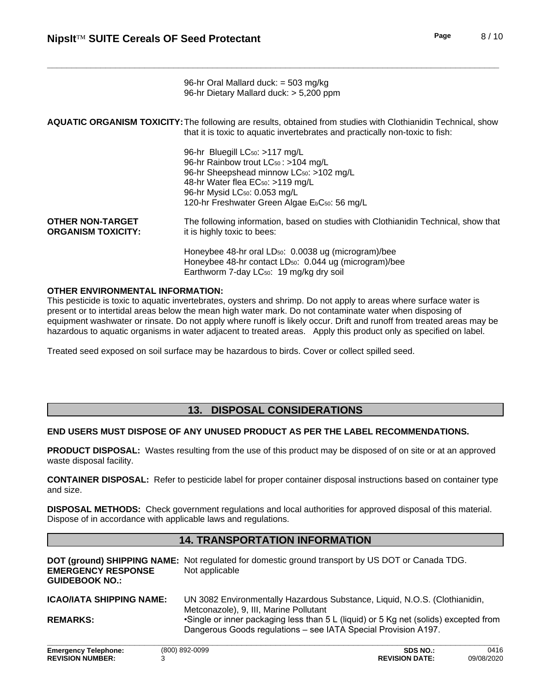96-hr Oral Mallard duck: = 503 mg/kg 96-hr Dietary Mallard duck: > 5,200 ppm

| AQUATIC ORGANISM TOXICITY: The following are results, obtained from studies with Clothianidin Technical, show |  |
|---------------------------------------------------------------------------------------------------------------|--|
| that it is toxic to aquatic invertebrates and practically non-toxic to fish:                                  |  |

| 96-hr Bluegill LC <sub>50</sub> : >117 mg/L                            |
|------------------------------------------------------------------------|
| 96-hr Rainbow trout LC <sub>50</sub> : >104 mg/L                       |
| 96-hr Sheepshead minnow LC <sub>50</sub> : >102 mg/L                   |
| 48-hr Water flea EC <sub>50</sub> : >119 mg/L                          |
| 96-hr Mysid LC <sub>50</sub> : 0.053 mg/L                              |
| 120-hr Freshwater Green Algae E <sub>b</sub> C <sub>50</sub> : 56 mg/L |
|                                                                        |

**OTHER NON-TARGET ORGANISM TOXICITY:** The following information, based on studies with Clothianidin Technical, show that it is highly toxic to bees:

> Honeybee 48-hr oral LD<sub>50</sub>: 0.0038 ug (microgram)/bee Honeybee 48-hr contact LD<sub>50</sub>: 0.044 ug (microgram)/bee Earthworm 7-day LC<sub>50</sub>: 19 mg/kg dry soil

#### **OTHER ENVIRONMENTAL INFORMATION:**

This pesticide is toxic to aquatic invertebrates, oysters and shrimp. Do not apply to areas where surface water is present or to intertidal areas below the mean high water mark. Do not contaminate water when disposing of equipment washwater or rinsate. Do not apply where runoff is likely occur. Drift and runoff from treated areas may be hazardous to aquatic organisms in water adjacent to treated areas. Apply this product only as specified on label.

Treated seed exposed on soil surface may be hazardous to birds. Cover or collect spilled seed.

# **13. DISPOSAL CONSIDERATIONS**

#### **END USERS MUST DISPOSE OF ANY UNUSED PRODUCT AS PER THE LABEL RECOMMENDATIONS.**

**PRODUCT DISPOSAL:** Wastes resulting from the use of this product may be disposed of on site or at an approved waste disposal facility.

**CONTAINER DISPOSAL:** Refer to pesticide label for proper container disposal instructions based on container type and size.

**DISPOSAL METHODS:** Check government regulations and local authorities for approved disposal of this material. Dispose of in accordance with applicable laws and regulations.

# **14. TRANSPORTATION INFORMATION**

| <b>EMERGENCY RESPONSE</b><br><b>GUIDEBOOK NO.:</b> | DOT (ground) SHIPPING NAME: Not regulated for domestic ground transport by US DOT or Canada TDG.<br>Not applicable                                     |
|----------------------------------------------------|--------------------------------------------------------------------------------------------------------------------------------------------------------|
| <b>ICAO/IATA SHIPPING NAME:</b>                    | UN 3082 Environmentally Hazardous Substance, Liquid, N.O.S. (Clothianidin,<br>Metconazole), 9, III, Marine Pollutant                                   |
| <b>REMARKS:</b>                                    | •Single or inner packaging less than 5 L (liquid) or 5 Kg net (solids) excepted from<br>Dangerous Goods regulations - see IATA Special Provision A197. |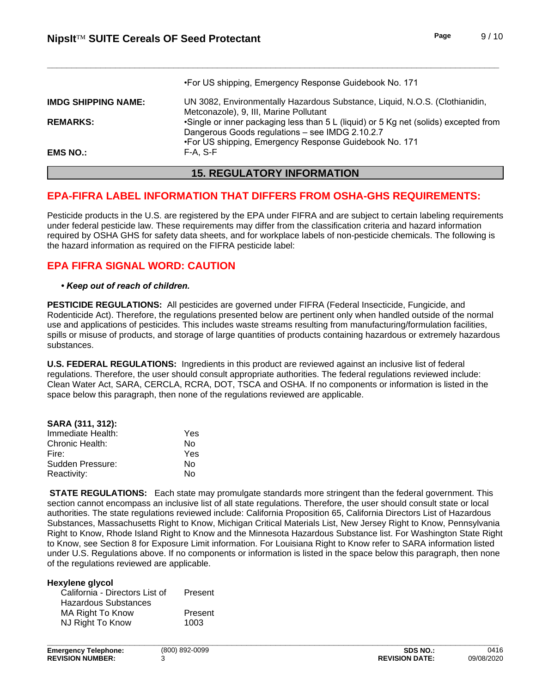|                            | •For US shipping, Emergency Response Guidebook No. 171                                                                                  |
|----------------------------|-----------------------------------------------------------------------------------------------------------------------------------------|
| <b>IMDG SHIPPING NAME:</b> | UN 3082, Environmentally Hazardous Substance, Liquid, N.O.S. (Clothianidin,<br>Metconazole), 9, III, Marine Pollutant                   |
| <b>REMARKS:</b>            | •Single or inner packaging less than 5 L (liquid) or 5 Kg net (solids) excepted from<br>Dangerous Goods regulations - see IMDG 2.10.2.7 |
| <b>EMS NO.:</b>            | •For US shipping, Emergency Response Guidebook No. 171<br>$F-A. S-F$                                                                    |

# **15. REGULATORY INFORMATION**

# **EPA-FIFRA LABEL INFORMATION THAT DIFFERS FROM OSHA-GHS REQUIREMENTS:**

Pesticide products in the U.S. are registered by the EPA under FIFRA and are subject to certain labeling requirements under federal pesticide law. These requirements may differ from the classification criteria and hazard information required by OSHA GHS for safety data sheets, and for workplace labels of non-pesticide chemicals. The following is the hazard information as required on the FIFRA pesticide label:

# **EPA FIFRA SIGNAL WORD: CAUTION**

• Keep out of reach of children.

PESTICIDE REGULATIONS: All pesticides are governed under FIFRA (Federal Insecticide, Fungicide, and Rodenticide Act). Therefore, the regulations presented below are pertinent only when handled outside of the normal use and applications of pesticides. This includes waste streams resulting from manufacturing/formulation facilities, spills or misuse of products, and storage of large quantities of products containing hazardous or extremely hazardous substances.

U.S. FEDERAL REGULATIONS: Ingredients in this product are reviewed against an inclusive list of federal regulations. Therefore, the user should consult appropriate authorities. The federal regulations reviewed include: Clean Water Act, SARA, CERCLA, RCRA, DOT, TSCA and OSHA. If no components or information is listed in the space below this paragraph, then none of the regulations reviewed are applicable.

| SARA (311, 312):  |     |
|-------------------|-----|
| Immediate Health: | Yes |
| Chronic Health:   | N٥  |
| Fire:             | Yes |
| Sudden Pressure:  | N٥  |
| Reactivity:       | N٥  |

**STATE REGULATIONS:** Each state may promulgate standards more stringent than the federal government. This section cannot encompass an inclusive list of all state regulations. Therefore, the user should consult state or local authorities. The state regulations reviewed include: California Proposition 65, California Directors List of Hazardous Substances, Massachusetts Right to Know, Michigan Critical Materials List, New Jersey Right to Know, Pennsylvania Right to Know, Rhode Island Right to Know and the Minnesota Hazardous Substance list. For Washington State Right to Know, see Section 8 for Exposure Limit information. For Louisiana Right to Know refer to SARA information listed under U.S. Regulations above. If no components or information is listed in the space below this paragraph, then none of the regulations reviewed are applicable.

#### **Hexvlene alvcol**

| Present |
|---------|
|         |
| Present |
| 1003    |
|         |